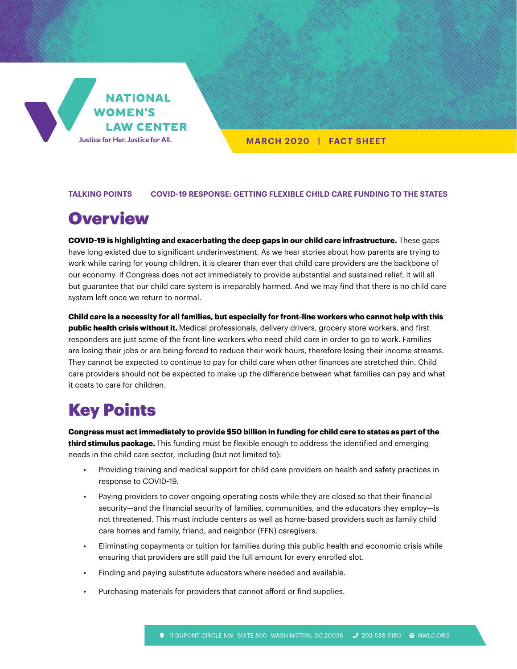

**MARCH 2020 | FACT SHEET**

#### **TALKING POINTS COVID-19 RESPONSE: GETTING FLEXIBLE CHILD CARE FUNDING TO THE STATES**

# **Overview**

**COVID-19 is highlighting and exacerbating the deep gaps in our child care infrastructure.** These gaps have long existed due to significant underinvestment. As we hear stories about how parents are trying to work while caring for young children, it is clearer than ever that child care providers are the backbone of our economy. If Congress does not act immediately to provide substantial and sustained relief, it will all but guarantee that our child care system is irreparably harmed. And we may find that there is no child care system left once we return to normal.

**Child care is a necessity for all families, but especially for front-line workers who cannot help with this public health crisis without it.** Medical professionals, delivery drivers, grocery store workers, and first responders are just some of the front-line workers who need child care in order to go to work. Families are losing their jobs or are being forced to reduce their work hours, therefore losing their income streams. They cannot be expected to continue to pay for child care when other finances are stretched thin. Child care providers should not be expected to make up the difference between what families can pay and what it costs to care for children.

## Key Points

**Congress must act immediately to provide \$50 billion in funding for child care to states as part of the third stimulus package.** This funding must be flexible enough to address the identified and emerging needs in the child care sector, including (but not limited to):

- Providing training and medical support for child care providers on health and safety practices in response to COVID-19.
- Paying providers to cover ongoing operating costs while they are closed so that their financial security—and the financial security of families, communities, and the educators they employ—is not threatened. This must include centers as well as home-based providers such as family child care homes and family, friend, and neighbor (FFN) caregivers.
- Eliminating copayments or tuition for families during this public health and economic crisis while ensuring that providers are still paid the full amount for every enrolled slot.
- Finding and paying substitute educators where needed and available.
- Purchasing materials for providers that cannot afford or find supplies.